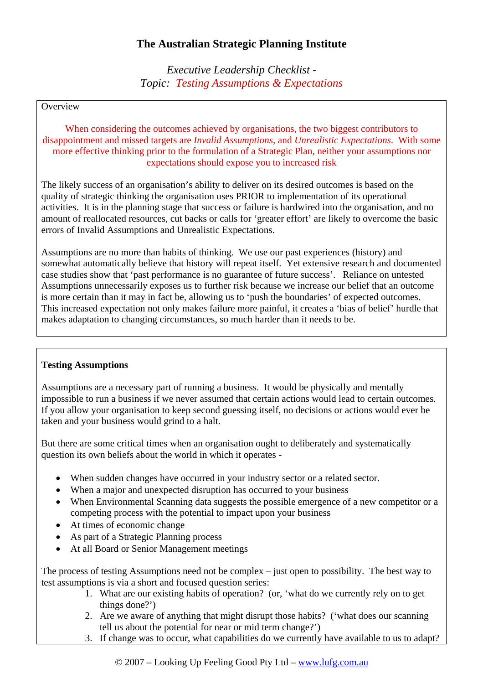## **The Australian Strategic Planning Institute**

*Executive Leadership Checklist - Topic: Testing Assumptions & Expectations* 

## **Overview**

When considering the outcomes achieved by organisations, the two biggest contributors to disappointment and missed targets are *Invalid Assumptions*, and *Unrealistic Expectations*. With some more effective thinking prior to the formulation of a Strategic Plan, neither your assumptions nor expectations should expose you to increased risk

The likely success of an organisation's ability to deliver on its desired outcomes is based on the quality of strategic thinking the organisation uses PRIOR to implementation of its operational activities. It is in the planning stage that success or failure is hardwired into the organisation, and no amount of reallocated resources, cut backs or calls for 'greater effort' are likely to overcome the basic errors of Invalid Assumptions and Unrealistic Expectations.

Assumptions are no more than habits of thinking. We use our past experiences (history) and somewhat automatically believe that history will repeat itself. Yet extensive research and documented case studies show that 'past performance is no guarantee of future success'. Reliance on untested Assumptions unnecessarily exposes us to further risk because we increase our belief that an outcome is more certain than it may in fact be, allowing us to 'push the boundaries' of expected outcomes. This increased expectation not only makes failure more painful, it creates a 'bias of belief' hurdle that makes adaptation to changing circumstances, so much harder than it needs to be.

## **Testing Assumptions**

Assumptions are a necessary part of running a business. It would be physically and mentally impossible to run a business if we never assumed that certain actions would lead to certain outcomes. If you allow your organisation to keep second guessing itself, no decisions or actions would ever be taken and your business would grind to a halt.

But there are some critical times when an organisation ought to deliberately and systematically question its own beliefs about the world in which it operates -

- When sudden changes have occurred in your industry sector or a related sector.
- When a major and unexpected disruption has occurred to your business
- When Environmental Scanning data suggests the possible emergence of a new competitor or a competing process with the potential to impact upon your business
- At times of economic change
- As part of a Strategic Planning process
- At all Board or Senior Management meetings

The process of testing Assumptions need not be complex – just open to possibility. The best way to test assumptions is via a short and focused question series:

- 1. What are our existing habits of operation? (or, 'what do we currently rely on to get things done?')
- 2. Are we aware of anything that might disrupt those habits? ('what does our scanning tell us about the potential for near or mid term change?')
- 3. If change was to occur, what capabilities do we currently have available to us to adapt?